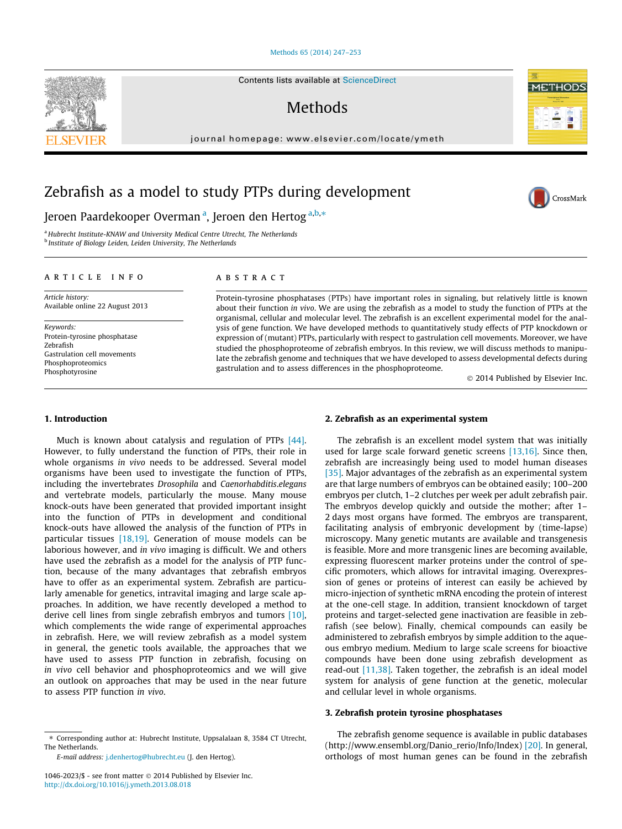# [Methods 65 \(2014\) 247–253](http://dx.doi.org/10.1016/j.ymeth.2013.08.018)

Contents lists available at [ScienceDirect](http://www.sciencedirect.com/science/journal/10462023)

# **Methods**

journal homepage: [www.elsevier.com/locate/ymeth](http://www.elsevier.com/locate/ymeth)

# Zebrafish as a model to study PTPs during development

Jeroen Paardekooper Overman<sup>a</sup>, Jeroen den Hertog<sup>a,b,</sup>\*

<sup>a</sup> Hubrecht Institute-KNAW and University Medical Centre Utrecht, The Netherlands <sup>b</sup> Institute of Biology Leiden, Leiden University, The Netherlands

#### article info

Article history: Available online 22 August 2013

Keywords: Protein-tyrosine phosphatase Zebrafish Gastrulation cell movements **Phosphoproteomics** Phosphotyrosine

# **ABSTRACT**

Protein-tyrosine phosphatases (PTPs) have important roles in signaling, but relatively little is known about their function in vivo. We are using the zebrafish as a model to study the function of PTPs at the organismal, cellular and molecular level. The zebrafish is an excellent experimental model for the analysis of gene function. We have developed methods to quantitatively study effects of PTP knockdown or expression of (mutant) PTPs, particularly with respect to gastrulation cell movements. Moreover, we have studied the phosphoproteome of zebrafish embryos. In this review, we will discuss methods to manipulate the zebrafish genome and techniques that we have developed to assess developmental defects during gastrulation and to assess differences in the phosphoproteome.

© 2014 Published by Elsevier Inc.

**METHOL** 

CrossMark

## 1. Introduction

Much is known about catalysis and regulation of PTPs [\[44\].](#page-6-0) However, to fully understand the function of PTPs, their role in whole organisms in vivo needs to be addressed. Several model organisms have been used to investigate the function of PTPs, including the invertebrates Drosophila and Caenorhabditis.elegans and vertebrate models, particularly the mouse. Many mouse knock-outs have been generated that provided important insight into the function of PTPs in development and conditional knock-outs have allowed the analysis of the function of PTPs in particular tissues [\[18,19\].](#page-6-0) Generation of mouse models can be laborious however, and in vivo imaging is difficult. We and others have used the zebrafish as a model for the analysis of PTP function, because of the many advantages that zebrafish embryos have to offer as an experimental system. Zebrafish are particularly amenable for genetics, intravital imaging and large scale approaches. In addition, we have recently developed a method to derive cell lines from single zebrafish embryos and tumors [\[10\],](#page-6-0) which complements the wide range of experimental approaches in zebrafish. Here, we will review zebrafish as a model system in general, the genetic tools available, the approaches that we have used to assess PTP function in zebrafish, focusing on in vivo cell behavior and phosphoproteomics and we will give an outlook on approaches that may be used in the near future to assess PTP function in vivo.

E-mail address: [j.denhertog@hubrecht.eu](mailto:j.denhertog@hubrecht.eu) (J. den Hertog).

# 2. Zebrafish as an experimental system

The zebrafish is an excellent model system that was initially used for large scale forward genetic screens  $[13,16]$ . Since then, zebrafish are increasingly being used to model human diseases [\[35\]](#page-6-0). Major advantages of the zebrafish as an experimental system are that large numbers of embryos can be obtained easily; 100–200 embryos per clutch, 1–2 clutches per week per adult zebrafish pair. The embryos develop quickly and outside the mother; after 1– 2 days most organs have formed. The embryos are transparent, facilitating analysis of embryonic development by (time-lapse) microscopy. Many genetic mutants are available and transgenesis is feasible. More and more transgenic lines are becoming available, expressing fluorescent marker proteins under the control of specific promoters, which allows for intravital imaging. Overexpression of genes or proteins of interest can easily be achieved by micro-injection of synthetic mRNA encoding the protein of interest at the one-cell stage. In addition, transient knockdown of target proteins and target-selected gene inactivation are feasible in zebrafish (see below). Finally, chemical compounds can easily be administered to zebrafish embryos by simple addition to the aqueous embryo medium. Medium to large scale screens for bioactive compounds have been done using zebrafish development as read-out [\[11,38\]](#page-6-0). Taken together, the zebrafish is an ideal model system for analysis of gene function at the genetic, molecular and cellular level in whole organisms.

# 3. Zebrafish protein tyrosine phosphatases

The zebrafish genome sequence is available in public databases (http://www.ensembl.org/Danio\_rerio/Info/Index) [\[20\]](#page-6-0). In general, orthologs of most human genes can be found in the zebrafish



<sup>⇑</sup> Corresponding author at: Hubrecht Institute, Uppsalalaan 8, 3584 CT Utrecht, The Netherlands.

 $1046 - 2023$ /\$ - see front matter  $\odot$  2014 Published by Elsevier Inc. <http://dx.doi.org/10.1016/j.ymeth.2013.08.018>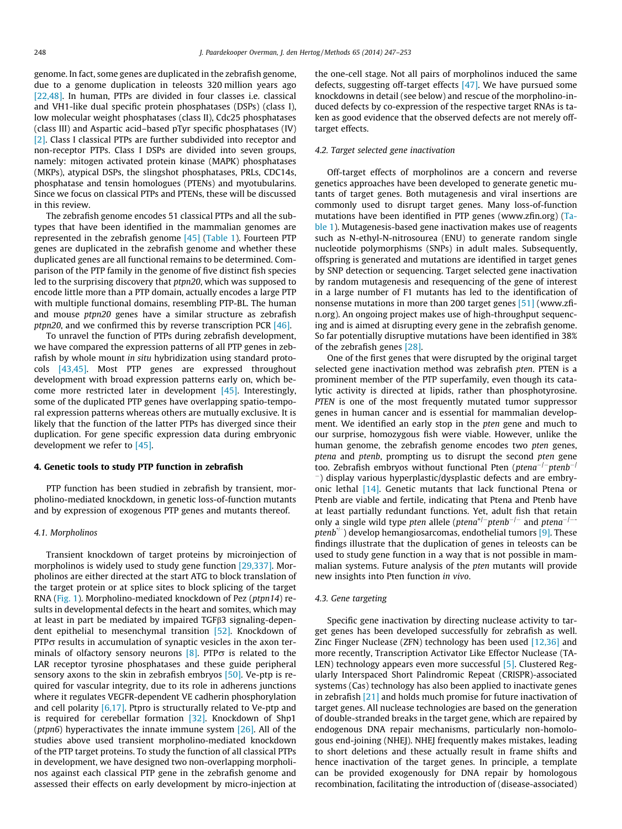genome. In fact, some genes are duplicated in the zebrafish genome, due to a genome duplication in teleosts 320 million years ago [\[22,48\].](#page-6-0) In human, PTPs are divided in four classes i.e. classical and VH1-like dual specific protein phosphatases (DSPs) (class I), low molecular weight phosphatases (class II), Cdc25 phosphatases (class III) and Aspartic acid–based pTyr specific phosphatases (IV) [\[2\]](#page-6-0). Class I classical PTPs are further subdivided into receptor and non-receptor PTPs. Class I DSPs are divided into seven groups, namely: mitogen activated protein kinase (MAPK) phosphatases (MKPs), atypical DSPs, the slingshot phosphatases, PRLs, CDC14s, phosphatase and tensin homologues (PTENs) and myotubularins. Since we focus on classical PTPs and PTENs, these will be discussed in this review.

The zebrafish genome encodes 51 classical PTPs and all the subtypes that have been identified in the mammalian genomes are represented in the zebrafish genome [\[45\]](#page-6-0) ([Table 1\)](#page-2-0). Fourteen PTP genes are duplicated in the zebrafish genome and whether these duplicated genes are all functional remains to be determined. Comparison of the PTP family in the genome of five distinct fish species led to the surprising discovery that ptpn20, which was supposed to encode little more than a PTP domain, actually encodes a large PTP with multiple functional domains, resembling PTP-BL. The human and mouse ptpn20 genes have a similar structure as zebrafish ptpn20, and we confirmed this by reverse transcription PCR [\[46\].](#page-6-0)

To unravel the function of PTPs during zebrafish development, we have compared the expression patterns of all PTP genes in zebrafish by whole mount in situ hybridization using standard protocols [\[43,45\].](#page-6-0) Most PTP genes are expressed throughout development with broad expression patterns early on, which become more restricted later in development [\[45\]](#page-6-0). Interestingly, some of the duplicated PTP genes have overlapping spatio-temporal expression patterns whereas others are mutually exclusive. It is likely that the function of the latter PTPs has diverged since their duplication. For gene specific expression data during embryonic development we refer to [\[45\]](#page-6-0).

## 4. Genetic tools to study PTP function in zebrafish

PTP function has been studied in zebrafish by transient, morpholino-mediated knockdown, in genetic loss-of-function mutants and by expression of exogenous PTP genes and mutants thereof.

# 4.1. Morpholinos

Transient knockdown of target proteins by microinjection of morpholinos is widely used to study gene function [\[29,337\]](#page-6-0). Morpholinos are either directed at the start ATG to block translation of the target protein or at splice sites to block splicing of the target RNA ([Fig. 1\)](#page-3-0). Morpholino-mediated knockdown of Pez (ptpn14) results in developmental defects in the heart and somites, which may at least in part be mediated by impaired  $TGF\beta3$  signaling-dependent epithelial to mesenchymal transition [\[52\].](#page-6-0) Knockdown of  $PTP\sigma$  results in accumulation of synaptic vesicles in the axon terminals of olfactory sensory neurons  $[8]$ . PTP $\sigma$  is related to the LAR receptor tyrosine phosphatases and these guide peripheral sensory axons to the skin in zebrafish embryos [\[50\].](#page-6-0) Ve-ptp is required for vascular integrity, due to its role in adherens junctions where it regulates VEGFR-dependent VE cadherin phosphorylation and cell polarity [\[6,17\]](#page-6-0). Ptpro is structurally related to Ve-ptp and is required for cerebellar formation [\[32\]](#page-6-0). Knockdown of Shp1 (*ptpn6*) hyperactivates the innate immune system  $[26]$ . All of the studies above used transient morpholino-mediated knockdown of the PTP target proteins. To study the function of all classical PTPs in development, we have designed two non-overlapping morpholinos against each classical PTP gene in the zebrafish genome and assessed their effects on early development by micro-injection at the one-cell stage. Not all pairs of morpholinos induced the same defects, suggesting off-target effects [\[47\].](#page-6-0) We have pursued some knockdowns in detail (see below) and rescue of the morpholino-induced defects by co-expression of the respective target RNAs is taken as good evidence that the observed defects are not merely offtarget effects.

# 4.2. Target selected gene inactivation

Off-target effects of morpholinos are a concern and reverse genetics approaches have been developed to generate genetic mutants of target genes. Both mutagenesis and viral insertions are commonly used to disrupt target genes. Many loss-of-function mutations have been identified in PTP genes (www.zfin.org) ([Ta](#page-2-0)[ble 1](#page-2-0)). Mutagenesis-based gene inactivation makes use of reagents such as N-ethyl-N-nitrosourea (ENU) to generate random single nucleotide polymorphisms (SNPs) in adult males. Subsequently, offspring is generated and mutations are identified in target genes by SNP detection or sequencing. Target selected gene inactivation by random mutagenesis and resequencing of the gene of interest in a large number of F1 mutants has led to the identification of nonsense mutations in more than 200 target genes [\[51\]](#page-6-0) (www.zfin.org). An ongoing project makes use of high-throughput sequencing and is aimed at disrupting every gene in the zebrafish genome. So far potentially disruptive mutations have been identified in 38% of the zebrafish genes [\[28\]](#page-6-0).

One of the first genes that were disrupted by the original target selected gene inactivation method was zebrafish pten. PTEN is a prominent member of the PTP superfamily, even though its catalytic activity is directed at lipids, rather than phosphotyrosine. PTEN is one of the most frequently mutated tumor suppressor genes in human cancer and is essential for mammalian development. We identified an early stop in the pten gene and much to our surprise, homozygous fish were viable. However, unlike the human genome, the zebrafish genome encodes two pten genes, ptena and ptenb, prompting us to disrupt the second pten gene too. Zebrafish embryos without functional Pten (ptena<sup>-/-</sup>ptenb<sup>-/</sup> -) display various hyperplastic/dysplastic defects and are embryonic lethal [\[14\]](#page-6-0). Genetic mutants that lack functional Ptena or Ptenb are viable and fertile, indicating that Ptena and Ptenb have at least partially redundant functions. Yet, adult fish that retain only a single wild type pten allele (ptena<sup>+/-</sup>ptenb<sup>-/-</sup> and ptena<sup>-/--</sup> ptenb<sup>+/-</sup>) develop hemangiosarcomas, endothelial tumors [\[9\].](#page-6-0) These findings illustrate that the duplication of genes in teleosts can be used to study gene function in a way that is not possible in mammalian systems. Future analysis of the pten mutants will provide new insights into Pten function in vivo.

#### 4.3. Gene targeting

Specific gene inactivation by directing nuclease activity to target genes has been developed successfully for zebrafish as well. Zinc Finger Nuclease (ZFN) technology has been used [\[12,36\]](#page-6-0) and more recently, Transcription Activator Like Effector Nuclease (TA-LEN) technology appears even more successful [\[5\].](#page-6-0) Clustered Regularly Interspaced Short Palindromic Repeat (CRISPR)-associated systems (Cas) technology has also been applied to inactivate genes in zebrafish [\[21\]](#page-6-0) and holds much promise for future inactivation of target genes. All nuclease technologies are based on the generation of double-stranded breaks in the target gene, which are repaired by endogenous DNA repair mechanisms, particularly non-homologous end-joining (NHEJ). NHEJ frequently makes mistakes, leading to short deletions and these actually result in frame shifts and hence inactivation of the target genes. In principle, a template can be provided exogenously for DNA repair by homologous recombination, facilitating the introduction of (disease-associated)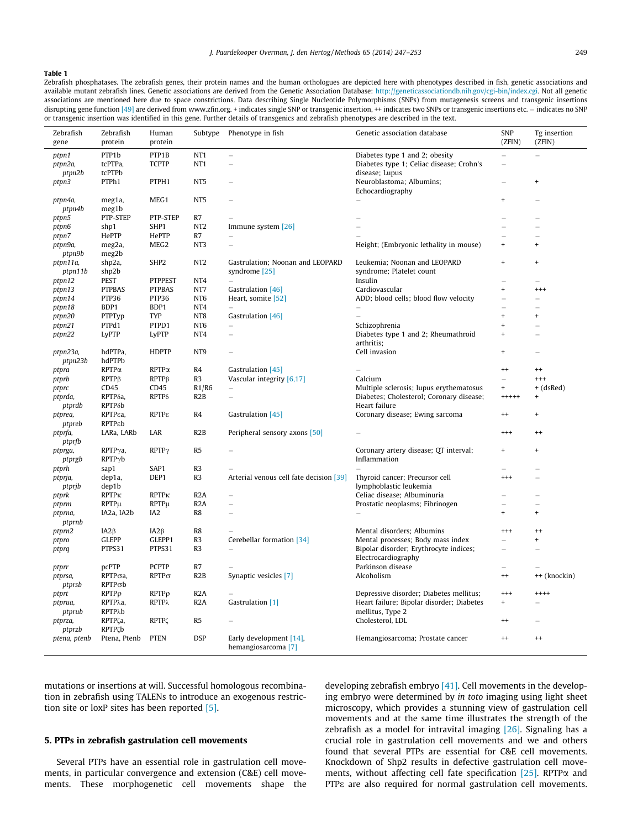## <span id="page-2-0"></span>Table 1

Zebrafish phosphatases. The zebrafish genes, their protein names and the human orthologues are depicted here with phenotypes described in fish, genetic associations and available mutant zebrafish lines. Genetic associations are derived from the Genetic Association Database: <http://geneticassociationdb.nih.gov/cgi-bin/index.cgi>. Not all genetic associations are mentioned here due to space constrictions. Data describing Single Nucleotide Polymorphisms (SNPs) from mutagenesis screens and transgenic insertions disrupting gene function [\[49\]](#page-6-0) are derived from www.zfin.org. + indicates single SNP or transgenic insertions etc. home of the indicates no SNPs or transgenic insertions etc. – indicates no SNP or transgenic insertion was identified in this gene. Further details of transgenics and zebrafish phenotypes are described in the text.

| Zebrafish         | Zebrafish                        | Human                   | Subtype          | Phenotype in fish                                         | Genetic association database                             | <b>SNP</b>               | Tg insertion             |
|-------------------|----------------------------------|-------------------------|------------------|-----------------------------------------------------------|----------------------------------------------------------|--------------------------|--------------------------|
| gene              | protein                          | protein                 |                  |                                                           |                                                          | (ZFIN)                   | (ZFIN)                   |
| ptpn1             | PTP1b                            | PTP1B                   | NT <sub>1</sub>  | $\equiv$                                                  | Diabetes type 1 and 2; obesity                           | L.                       |                          |
| ptpn2a,           | tcPTPa,                          | <b>TCPTP</b>            | NT <sub>1</sub>  | $\equiv$                                                  | Diabetes type 1; Celiac disease; Crohn's                 | L.                       |                          |
| ptpn2b            | tcPTPb                           |                         |                  |                                                           | disease; Lupus                                           |                          |                          |
| ptpn3             | PTPh1                            | PTPH1                   | NT <sub>5</sub>  |                                                           | Neuroblastoma; Albumins;                                 |                          | $\ddot{}$                |
|                   |                                  |                         |                  |                                                           | Echocardiography                                         |                          |                          |
| ptpn4a,<br>ptpn4b | meg1a,<br>meg1b                  | MEG1                    | NT <sub>5</sub>  |                                                           |                                                          | $\ddot{}$                |                          |
| ptpn5             | PTP-STEP                         | PTP-STEP                | R7               |                                                           |                                                          |                          |                          |
| ptpn6             | shp1                             | SHP1                    | NT <sub>2</sub>  | Immune system [26]                                        |                                                          |                          |                          |
| ptpn7             | HePTP                            | HePTP                   | R7               |                                                           |                                                          |                          |                          |
| ptpn9a,           | meg2a,                           | MEG <sub>2</sub>        | NT <sub>3</sub>  | $\equiv$                                                  | Height; (Embryonic lethality in mouse)                   | $\ddot{}$                | $\ddot{}$                |
| ptpn9b            | meg2b                            |                         |                  |                                                           |                                                          |                          |                          |
| ptpn11a,          | shp2a,                           | SHP <sub>2</sub>        | NT <sub>2</sub>  | Gastrulation; Noonan and LEOPARD                          | Leukemia; Noonan and LEOPARD                             | $\ddot{}$                | $\ddot{}$                |
| ptpn11b           | shp2b                            |                         |                  | syndrome [25]                                             | syndrome; Platelet count                                 |                          |                          |
| ptpn12            | PEST                             | <b>PTPPEST</b>          | NT4              | $\equiv$                                                  | Insulin                                                  |                          |                          |
| ptpn13            | <b>PTPBAS</b>                    | <b>PTPBAS</b>           | NT7              | Gastrulation [46]                                         | Cardiovascular                                           | $\ddot{}$                | $^{++}$                  |
| ptpn14            | PTP36                            | PTP36                   | NT <sub>6</sub>  | Heart, somite [52]                                        | ADD; blood cells; blood flow velocity                    | L.                       | $\equiv$                 |
| ptpn18            | BDP1                             | BDP1                    | NT4              |                                                           |                                                          |                          |                          |
| ptpn20            | PTPTyp                           | TYP                     | NT8              | Gastrulation [46]                                         |                                                          | $\ddot{}$                | $\ddot{}$                |
| ptpn21            | PTPd1                            | PTPD1                   | NT <sub>6</sub>  |                                                           | Schizophrenia                                            | $\ddot{}$                | $\overline{\phantom{0}}$ |
| ptpn22            | LyPTP                            | LyPTP                   | NT4              |                                                           | Diabetes type 1 and 2; Rheumathroid                      | $\ddot{}$                |                          |
| ptpn23a,          | hdPTPa,                          | <b>HDPTP</b>            | NT <sub>9</sub>  |                                                           | arthritis;<br>Cell invasion                              | $\ddot{}$                |                          |
| ptpn23b           | hdPTPb                           |                         |                  |                                                           |                                                          |                          |                          |
| ptpra             | RPTPa                            | $RPTP\alpha$            | R4               | Gastrulation [45]                                         |                                                          | $^{++}$                  | $^{++}$                  |
| ptprb             | RPTP <sub>B</sub>                | $RPTP\beta$             | R <sub>3</sub>   | Vascular integrity [6,17]                                 | Calcium                                                  | L.                       | $^{++}$                  |
| ptprc             | CD45                             | CD45                    | R1/R6            | $\overline{\phantom{m}}$                                  | Multiple sclerosis; lupus erythematosus                  | $\ddot{}$                | $+ (d s Red)$            |
| ptprda,           | RPTP <sub>õa</sub> ,             | RPTPδ                   | R <sub>2</sub> B | $\equiv$                                                  | Diabetes; Cholesterol; Coronary disease;                 | $+++++$                  | $\ddot{}$                |
| ptprdb            | <b>RPTP</b> δb                   |                         |                  |                                                           | Heart failure                                            |                          |                          |
| ptprea,           | <b>RPTPEa,</b>                   | RPTPε                   | R4               | Gastrulation [45]                                         | Coronary disease; Ewing sarcoma                          | $^{++}$                  | $\ddot{}$                |
| ptpreb            | RPTPEb                           |                         |                  |                                                           |                                                          |                          |                          |
| ptprfa,           | LARa, LARb                       | LAR                     | R <sub>2</sub> B | Peripheral sensory axons [50]                             |                                                          | $^{+++}$                 | $^{++}$                  |
| ptprfb            |                                  |                         |                  |                                                           |                                                          |                          |                          |
| ptprga,           | $RPTP\gamma a$ ,                 | $RPTP\gamma$            | R <sub>5</sub>   |                                                           | Coronary artery disease; QT interval;                    |                          |                          |
| ptprgb            | RPTPyb                           |                         |                  |                                                           | Inflammation                                             |                          |                          |
| ptprh             | sap1                             | SAP1                    | R3               |                                                           |                                                          |                          |                          |
| ptprja,           | dep1a,                           | DEP1                    | R <sub>3</sub>   | Arterial venous cell fate decision [39]                   | Thyroid cancer; Precursor cell<br>lymphoblastic leukemia | $^{++}$                  |                          |
| ptprjb            | dep1b<br><b>RPTP<sub>K</sub></b> | <b>RPTP<sub>K</sub></b> | R2A              | $\equiv$                                                  | Celiac disease; Albuminuria                              |                          |                          |
| ptprk<br>ptprm    | RPTPµ                            | RPTPµ                   | R2A              |                                                           | Prostatic neoplasms; Fibrinogen                          |                          |                          |
| ptprna,           | IA2a, IA2b                       | IA <sub>2</sub>         | R8               | $\equiv$                                                  |                                                          | $\ddot{}$                | $+$                      |
| ptprnb            |                                  |                         |                  |                                                           |                                                          |                          |                          |
| ptprn2            | $I A 2 \beta$                    | $IA2\beta$              | R8               |                                                           | Mental disorders; Albumins                               | $^{+++}$                 | $^{++}$                  |
| ptpro             | <b>GLEPP</b>                     | GLEPP1                  | R <sub>3</sub>   | Cerebellar formation [34]                                 | Mental processes; Body mass index                        |                          | $\ddot{}$                |
| ptprq             | PTPS31                           | PTPS31                  | R <sub>3</sub>   |                                                           | Bipolar disorder; Erythrocyte indices;                   | $\overline{\phantom{a}}$ |                          |
|                   |                                  |                         |                  |                                                           | Electrocardiography                                      |                          |                          |
| ptprr             | pcPTP                            | <b>PCPTP</b>            | R7               |                                                           | Parkinson disease                                        |                          |                          |
| ptprsa,           | RPTPoa,                          | $RPTP\sigma$            | R <sub>2</sub> B | Synaptic vesicles [7]                                     | Alcoholism                                               | $^{++}$                  | ++ (knockin)             |
| ptprsb            | RPTPob                           |                         |                  |                                                           |                                                          |                          |                          |
| ptprt             | RPTPp                            | $RPTP\rho$              | R <sub>2</sub> A |                                                           | Depressive disorder; Diabetes mellitus;                  | $^{+++}$                 | $++++$                   |
| ptprua,           | RPTP <sub>A</sub> ,              | <b>RPTPλ</b>            | R <sub>2</sub> A | Gastrulation [1]                                          | Heart failure; Bipolar disorder; Diabetes                | $\ddot{}$                |                          |
| ptprub            | RPTP <sub>Ab</sub>               |                         |                  |                                                           | mellitus, Type 2                                         |                          |                          |
| ptprza,           | RPTPCa,                          | <b>RPTP</b>             | R5               |                                                           | Cholesterol, LDL                                         | $^{++}$                  |                          |
| ptprzb            | RPTPCb                           |                         | <b>DSP</b>       |                                                           |                                                          | $^{++}$                  | $^{++}$                  |
| ptena, ptenb      | Ptena, Ptenb                     | <b>PTEN</b>             |                  | Early development [14],<br>hemangiosarcoma <sup>[7]</sup> | Hemangiosarcoma; Prostate cancer                         |                          |                          |

mutations or insertions at will. Successful homologous recombination in zebrafish using TALENs to introduce an exogenous restriction site or loxP sites has been reported [\[5\].](#page-6-0)

# 5. PTPs in zebrafish gastrulation cell movements

Several PTPs have an essential role in gastrulation cell movements, in particular convergence and extension (C&E) cell movements. These morphogenetic cell movements shape the developing zebrafish embryo [\[41\].](#page-6-0) Cell movements in the developing embryo were determined by in toto imaging using light sheet microscopy, which provides a stunning view of gastrulation cell movements and at the same time illustrates the strength of the zebrafish as a model for intravital imaging  $[26]$ . Signaling has a crucial role in gastrulation cell movements and we and others found that several PTPs are essential for C&E cell movements. Knockdown of Shp2 results in defective gastrulation cell movements, without affecting cell fate specification  $[25]$ . RPTP $\alpha$  and PTP<sub>&</sub> are also required for normal gastrulation cell movements.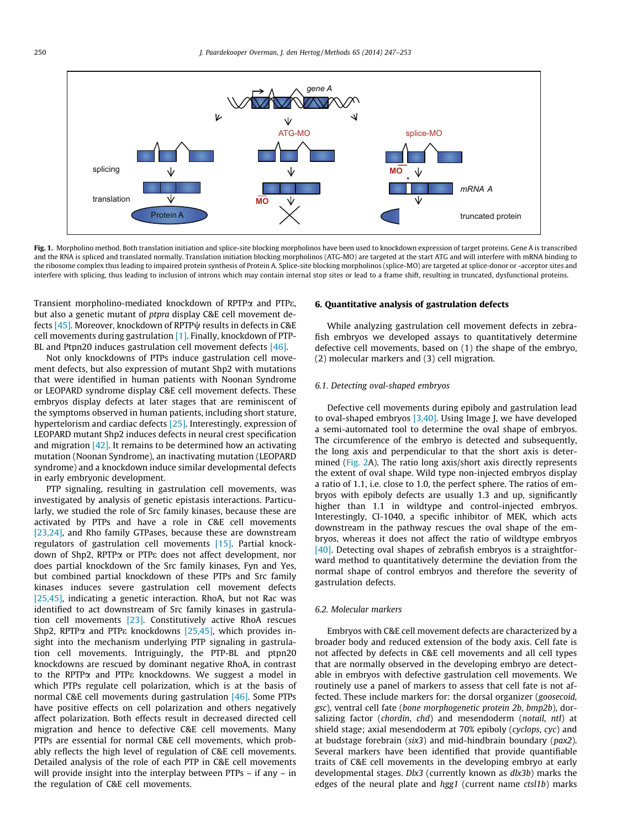<span id="page-3-0"></span>

Fig. 1. Morpholino method. Both translation initiation and splice-site blocking morpholinos have been used to knockdown expression of target proteins. Gene A is transcribed and the RNA is spliced and translated normally. Translation initiation blocking morpholinos (ATG-MO) are targeted at the start ATG and will interfere with mRNA binding to the ribosome complex thus leading to impaired protein synthesis of Protein A. Splice-site blocking morpholinos (splice-MO) are targeted at splice-donor or -acceptor sites and interfere with splicing, thus leading to inclusion of introns which may contain internal stop sites or lead to a frame shift, resulting in truncated, dysfunctional proteins.

Transient morpholino-mediated knockdown of RPTPa and PTPe, but also a genetic mutant of ptpra display C&E cell movement defects  $[45]$ . Moreover, knockdown of RPTP $\psi$  results in defects in C&E cell movements during gastrulation [\[1\].](#page-6-0) Finally, knockdown of PTP-BL and Ptpn20 induces gastrulation cell movement defects [\[46\]](#page-6-0).

Not only knockdowns of PTPs induce gastrulation cell movement defects, but also expression of mutant Shp2 with mutations that were identified in human patients with Noonan Syndrome or LEOPARD syndrome display C&E cell movement defects. These embryos display defects at later stages that are reminiscent of the symptoms observed in human patients, including short stature, hypertelorism and cardiac defects [\[25\].](#page-6-0) Interestingly, expression of LEOPARD mutant Shp2 induces defects in neural crest specification and migration [\[42\].](#page-6-0) It remains to be determined how an activating mutation (Noonan Syndrome), an inactivating mutation (LEOPARD syndrome) and a knockdown induce similar developmental defects in early embryonic development.

PTP signaling, resulting in gastrulation cell movements, was investigated by analysis of genetic epistasis interactions. Particularly, we studied the role of Src family kinases, because these are activated by PTPs and have a role in C&E cell movements [\[23,24\],](#page-6-0) and Rho family GTPases, because these are downstream regulators of gastrulation cell movements [\[15\].](#page-6-0) Partial knockdown of Shp2, RPTPa or PTPe does not affect development, nor does partial knockdown of the Src family kinases, Fyn and Yes, but combined partial knockdown of these PTPs and Src family kinases induces severe gastrulation cell movement defects [\[25,45\],](#page-6-0) indicating a genetic interaction. RhoA, but not Rac was identified to act downstream of Src family kinases in gastrulation cell movements [\[23\].](#page-6-0) Constitutively active RhoA rescues Shp2, RPTP $\alpha$  and PTP $\epsilon$  knockdowns [\[25,45\],](#page-6-0) which provides insight into the mechanism underlying PTP signaling in gastrulation cell movements. Intriguingly, the PTP-BL and ptpn20 knockdowns are rescued by dominant negative RhoA, in contrast to the RPTPa and PTPe knockdowns. We suggest a model in which PTPs regulate cell polarization, which is at the basis of normal C&E cell movements during gastrulation [\[46\]](#page-6-0). Some PTPs have positive effects on cell polarization and others negatively affect polarization. Both effects result in decreased directed cell migration and hence to defective C&E cell movements. Many PTPs are essential for normal C&E cell movements, which probably reflects the high level of regulation of C&E cell movements. Detailed analysis of the role of each PTP in C&E cell movements will provide insight into the interplay between PTPs – if any – in the regulation of C&E cell movements.

# 6. Quantitative analysis of gastrulation defects

While analyzing gastrulation cell movement defects in zebrafish embryos we developed assays to quantitatively determine defective cell movements, based on (1) the shape of the embryo, (2) molecular markers and (3) cell migration.

# 6.1. Detecting oval-shaped embryos

Defective cell movements during epiboly and gastrulation lead to oval-shaped embryos [\[3,40\].](#page-6-0) Using Image J, we have developed a semi-automated tool to determine the oval shape of embryos. The circumference of the embryo is detected and subsequently, the long axis and perpendicular to that the short axis is determined ([Fig. 2A](#page-4-0)). The ratio long axis/short axis directly represents the extent of oval shape. Wild type non-injected embryos display a ratio of 1.1, i.e. close to 1.0, the perfect sphere. The ratios of embryos with epiboly defects are usually 1.3 and up, significantly higher than 1.1 in wildtype and control-injected embryos. Interestingly, CI-1040, a specific inhibitor of MEK, which acts downstream in the pathway rescues the oval shape of the embryos, whereas it does not affect the ratio of wildtype embryos [\[40\]](#page-6-0). Detecting oval shapes of zebrafish embryos is a straightforward method to quantitatively determine the deviation from the normal shape of control embryos and therefore the severity of gastrulation defects.

#### 6.2. Molecular markers

Embryos with C&E cell movement defects are characterized by a broader body and reduced extension of the body axis. Cell fate is not affected by defects in C&E cell movements and all cell types that are normally observed in the developing embryo are detectable in embryos with defective gastrulation cell movements. We routinely use a panel of markers to assess that cell fate is not affected. These include markers for: the dorsal organizer (goosecoid, gsc), ventral cell fate (bone morphogenetic protein 2b, bmp2b), dorsalizing factor (chordin, chd) and mesendoderm (notail, ntl) at shield stage; axial mesendoderm at 70% epiboly (cyclops, cyc) and at budstage forebrain (six3) and mid-hindbrain boundary (pax2). Several markers have been identified that provide quantifiable traits of C&E cell movements in the developing embryo at early developmental stages. Dlx3 (currently known as dlx3b) marks the edges of the neural plate and hgg1 (current name ctsl1b) marks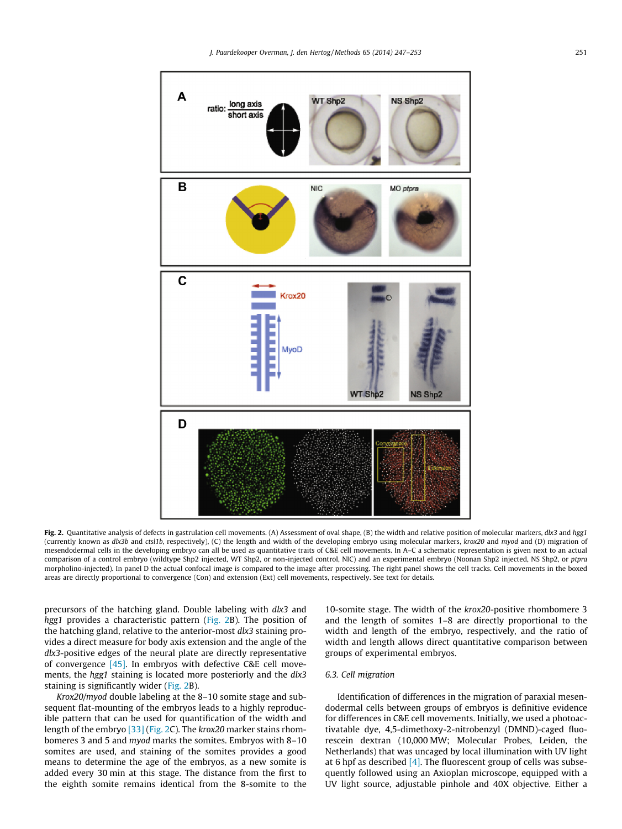<span id="page-4-0"></span>

Fig. 2. Quantitative analysis of defects in gastrulation cell movements. (A) Assessment of oval shape, (B) the width and relative position of molecular markers, dlx3 and hgg1 (currently known as dlx3b and ctsl1b, respectively), (C) the length and width of the developing embryo using molecular markers, krox20 and myod and (D) migration of mesendodermal cells in the developing embryo can all be used as quantitative traits of C&E cell movements. In A–C a schematic representation is given next to an actual comparison of a control embryo (wildtype Shp2 injected, WT Shp2, or non-injected control, NIC) and an experimental embryo (Noonan Shp2 injected, NS Shp2, or ptpra morpholino-injected). In panel D the actual confocal image is compared to the image after processing. The right panel shows the cell tracks. Cell movements in the boxed areas are directly proportional to convergence (Con) and extension (Ext) cell movements, respectively. See text for details.

precursors of the hatching gland. Double labeling with dlx3 and hgg1 provides a characteristic pattern (Fig. 2B). The position of the hatching gland, relative to the anterior-most dlx3 staining provides a direct measure for body axis extension and the angle of the dlx3-positive edges of the neural plate are directly representative of convergence [\[45\]](#page-6-0). In embryos with defective C&E cell movements, the hgg1 staining is located more posteriorly and the dlx3 staining is significantly wider (Fig. 2B).

Krox20/myod double labeling at the 8–10 somite stage and subsequent flat-mounting of the embryos leads to a highly reproducible pattern that can be used for quantification of the width and length of the embryo [\[33\]](#page-6-0) (Fig. 2C). The krox20 marker stains rhombomeres 3 and 5 and *myod* marks the somites. Embryos with 8-10 somites are used, and staining of the somites provides a good means to determine the age of the embryos, as a new somite is added every 30 min at this stage. The distance from the first to the eighth somite remains identical from the 8-somite to the 10-somite stage. The width of the krox20-positive rhombomere 3 and the length of somites 1–8 are directly proportional to the width and length of the embryo, respectively, and the ratio of width and length allows direct quantitative comparison between groups of experimental embryos.

# 6.3. Cell migration

Identification of differences in the migration of paraxial mesendodermal cells between groups of embryos is definitive evidence for differences in C&E cell movements. Initially, we used a photoactivatable dye, 4,5-dimethoxy-2-nitrobenzyl (DMND)-caged fluorescein dextran (10,000 MW; Molecular Probes, Leiden, the Netherlands) that was uncaged by local illumination with UV light at 6 hpf as described  $[4]$ . The fluorescent group of cells was subsequently followed using an Axioplan microscope, equipped with a UV light source, adjustable pinhole and 40X objective. Either a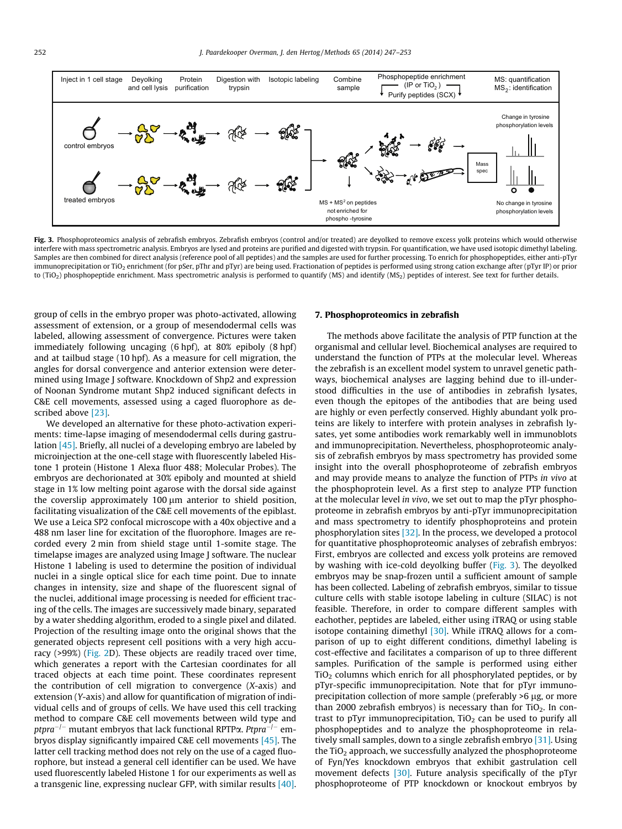

Fig. 3. Phosphoproteomics analysis of zebrafish embryos. Zebrafish embryos (control and/or treated) are deyolked to remove excess yolk proteins which would otherwise interfere with mass spectrometric analysis. Embryos are lysed and proteins are purified and digested with trypsin. For quantification, we have used isotopic dimethyl labeling. Samples are then combined for direct analysis (reference pool of all peptides) and the samples are used for further processing. To enrich for phosphopeptides, either anti-pTyr immunoprecipitation or TiO<sub>2</sub> enrichment (for pSer, pThr and pTyr) are being used. Fractionation of peptides is performed using strong cation exchange after (pTyr IP) or prior to (TiO<sub>2</sub>) phosphopeptide enrichment. Mass spectrometric analysis is performed to quantify (MS) and identify (MS<sub>2</sub>) peptides of interest. See text for further details.

group of cells in the embryo proper was photo-activated, allowing assessment of extension, or a group of mesendodermal cells was labeled, allowing assessment of convergence. Pictures were taken immediately following uncaging (6 hpf), at 80% epiboly (8 hpf) and at tailbud stage (10 hpf). As a measure for cell migration, the angles for dorsal convergence and anterior extension were determined using Image J software. Knockdown of Shp2 and expression of Noonan Syndrome mutant Shp2 induced significant defects in C&E cell movements, assessed using a caged fluorophore as described above [\[23\]](#page-6-0).

We developed an alternative for these photo-activation experiments: time-lapse imaging of mesendodermal cells during gastrulation [\[45\]](#page-6-0). Briefly, all nuclei of a developing embryo are labeled by microinjection at the one-cell stage with fluorescently labeled Histone 1 protein (Histone 1 Alexa fluor 488; Molecular Probes). The embryos are dechorionated at 30% epiboly and mounted at shield stage in 1% low melting point agarose with the dorsal side against the coverslip approximately  $100 \mu m$  anterior to shield position, facilitating visualization of the C&E cell movements of the epiblast. We use a Leica SP2 confocal microscope with a 40x objective and a 488 nm laser line for excitation of the fluorophore. Images are recorded every 2 min from shield stage until 1-somite stage. The timelapse images are analyzed using Image J software. The nuclear Histone 1 labeling is used to determine the position of individual nuclei in a single optical slice for each time point. Due to innate changes in intensity, size and shape of the fluorescent signal of the nuclei, additional image processing is needed for efficient tracing of the cells. The images are successively made binary, separated by a water shedding algorithm, eroded to a single pixel and dilated. Projection of the resulting image onto the original shows that the generated objects represent cell positions with a very high accuracy (>99%) [\(Fig. 2](#page-4-0)D). These objects are readily traced over time, which generates a report with the Cartesian coordinates for all traced objects at each time point. These coordinates represent the contribution of cell migration to convergence (X-axis) and extension (Y-axis) and allow for quantification of migration of individual cells and of groups of cells. We have used this cell tracking method to compare C&E cell movements between wild type and ptpra $^{-/-}$  mutant embryos that lack functional RPTPα. Ptpra $^{-/-}$  embryos display significantly impaired C&E cell movements [\[45\].](#page-6-0) The latter cell tracking method does not rely on the use of a caged fluorophore, but instead a general cell identifier can be used. We have used fluorescently labeled Histone 1 for our experiments as well as a transgenic line, expressing nuclear GFP, with similar results [\[40\].](#page-6-0)

## 7. Phosphoproteomics in zebrafish

The methods above facilitate the analysis of PTP function at the organismal and cellular level. Biochemical analyses are required to understand the function of PTPs at the molecular level. Whereas the zebrafish is an excellent model system to unravel genetic pathways, biochemical analyses are lagging behind due to ill-understood difficulties in the use of antibodies in zebrafish lysates, even though the epitopes of the antibodies that are being used are highly or even perfectly conserved. Highly abundant yolk proteins are likely to interfere with protein analyses in zebrafish lysates, yet some antibodies work remarkably well in immunoblots and immunoprecipitation. Nevertheless, phosphoproteomic analysis of zebrafish embryos by mass spectrometry has provided some insight into the overall phosphoproteome of zebrafish embryos and may provide means to analyze the function of PTPs in vivo at the phosphoprotein level. As a first step to analyze PTP function at the molecular level in vivo, we set out to map the pTyr phosphoproteome in zebrafish embryos by anti-pTyr immunoprecipitation and mass spectrometry to identify phosphoproteins and protein phosphorylation sites [\[32\].](#page-6-0) In the process, we developed a protocol for quantitative phosphoproteomic analyses of zebrafish embryos: First, embryos are collected and excess yolk proteins are removed by washing with ice-cold deyolking buffer (Fig. 3). The deyolked embryos may be snap-frozen until a sufficient amount of sample has been collected. Labeling of zebrafish embryos, similar to tissue culture cells with stable isotope labeling in culture (SILAC) is not feasible. Therefore, in order to compare different samples with eachother, peptides are labeled, either using iTRAQ or using stable isotope containing dimethyl  $[30]$ . While iTRAQ allows for a comparison of up to eight different conditions, dimethyl labeling is cost-effective and facilitates a comparison of up to three different samples. Purification of the sample is performed using either  $TiO<sub>2</sub>$  columns which enrich for all phosphorylated peptides, or by pTyr-specific immunoprecipitation. Note that for pTyr immunoprecipitation collection of more sample (preferably  $>6 \mu$ g, or more than 2000 zebrafish embryos) is necessary than for  $TiO<sub>2</sub>$ . In contrast to pTyr immunoprecipitation,  $TiO<sub>2</sub>$  can be used to purify all phosphopeptides and to analyze the phosphoproteome in relatively small samples, down to a single zebrafish embryo [\[31\].](#page-6-0) Using the  $TiO<sub>2</sub>$  approach, we successfully analyzed the phosphoproteome of Fyn/Yes knockdown embryos that exhibit gastrulation cell movement defects [\[30\].](#page-6-0) Future analysis specifically of the pTyr phosphoproteome of PTP knockdown or knockout embryos by